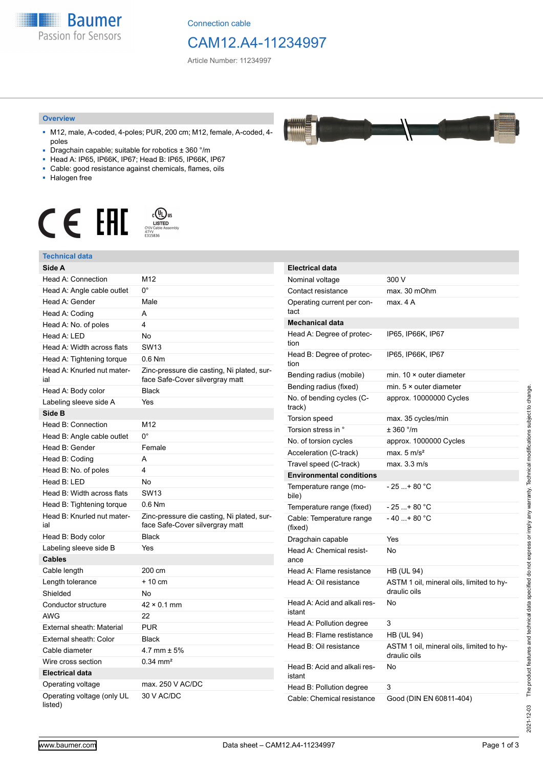**Baumer** Passion for Sensors

Connection cable

# CAM12.A4-11234997

Article Number: 11234997

#### **Overview**

- M12, male, A-coded, 4-poles; PUR, 200 cm; M12, female, A-coded, 4 poles
- Dragchain capable; suitable for robotics ± 360 °/m
- Head A: IP65, IP66K, IP67; Head B: IP65, IP66K, IP67
- Cable: good resistance against chemicals, flames, oils
- Halogen free



## **Technical data**

| rechnical uata                        |                                                                               |                                     |                                                          |
|---------------------------------------|-------------------------------------------------------------------------------|-------------------------------------|----------------------------------------------------------|
| Side A                                |                                                                               | <b>Electrical data</b>              |                                                          |
| Head A: Connection                    | M12                                                                           | Nominal voltage                     | 300 V                                                    |
| Head A: Angle cable outlet            | О°                                                                            | Contact resistance                  | max. 30 mOhm                                             |
| Head A: Gender                        | Male                                                                          | Operating current per con-          | max. 4 A                                                 |
| Head A: Coding                        | A                                                                             | tact                                |                                                          |
| Head A: No. of poles                  | 4                                                                             | <b>Mechanical data</b>              |                                                          |
| Head A: LED                           | <b>No</b>                                                                     | Head A: Degree of protec-           | IP65, IP66K, IP67                                        |
| Head A: Width across flats            | <b>SW13</b>                                                                   | tion                                |                                                          |
| Head A: Tightening torque             | $0.6$ Nm                                                                      | Head B: Degree of protec-<br>tion   | IP65, IP66K, IP67                                        |
| Head A: Knurled nut mater-<br>ial     | Zinc-pressure die casting, Ni plated, sur-<br>face Safe-Cover silvergray matt | Bending radius (mobile)             | min. $10 \times$ outer diameter                          |
| Head A: Body color                    | <b>Black</b>                                                                  | Bending radius (fixed)              | min. $5 \times$ outer diameter                           |
| Labeling sleeve side A                | Yes                                                                           | No. of bending cycles (C-<br>track) | approx. 10000000 Cycles                                  |
| Side B                                |                                                                               | Torsion speed                       | max. 35 cycles/min                                       |
| Head B: Connection                    | M12                                                                           | Torsion stress in °                 | ± 360 °/m                                                |
| Head B: Angle cable outlet            | $0^{\circ}$                                                                   | No. of torsion cycles               | approx. 1000000 Cycles                                   |
| Head B: Gender                        | Female                                                                        | Acceleration (C-track)              | max. $5 \text{ m/s}^2$                                   |
| Head B: Coding                        | Α                                                                             | Travel speed (C-track)              | max. 3.3 m/s                                             |
| Head B: No. of poles                  | 4                                                                             | <b>Environmental conditions</b>     |                                                          |
| Head B: LED                           | No                                                                            | Temperature range (mo-              | $-25+80 °C$                                              |
| Head B: Width across flats            | <b>SW13</b>                                                                   | bile)                               |                                                          |
| Head B: Tightening torque             | $0.6$ Nm                                                                      | Temperature range (fixed)           | $-25+80 °C$                                              |
| Head B: Knurled nut mater-<br>ial     | Zinc-pressure die casting, Ni plated, sur-<br>face Safe-Cover silvergray matt | Cable: Temperature range<br>(fixed) | $-40+80 °C$                                              |
| Head B: Body color                    | Black                                                                         | Dragchain capable                   | Yes                                                      |
| Labeling sleeve side B                | Yes                                                                           | Head A: Chemical resist-<br>ance    | No                                                       |
| <b>Cables</b>                         |                                                                               |                                     |                                                          |
| Cable length                          | 200 cm                                                                        | Head A: Flame resistance            | <b>HB (UL 94)</b>                                        |
| Length tolerance                      | $+10$ cm                                                                      | Head A: Oil resistance              | ASTM 1 oil, mineral oils, limited to hy-<br>draulic oils |
| Shielded                              | No                                                                            |                                     |                                                          |
| Conductor structure                   | $42 \times 0.1$ mm                                                            | Head A: Acid and alkali res-        | No                                                       |
| AWG                                   | 22                                                                            | istant                              |                                                          |
| External sheath: Material             | <b>PUR</b>                                                                    | Head A: Pollution degree            | 3                                                        |
| External sheath: Color                | <b>Black</b>                                                                  | Head B: Flame restistance           | <b>HB (UL 94)</b>                                        |
| Cable diameter                        | 4.7 mm $\pm$ 5%                                                               | Head B: Oil resistance              | ASTM 1 oil, mineral oils, limited to hy-<br>draulic oils |
| Wire cross section                    | $0.34 \, \text{mm}^2$                                                         | Head B: Acid and alkali res-        | No                                                       |
| <b>Electrical data</b>                |                                                                               | istant                              |                                                          |
| Operating voltage                     | max. 250 V AC/DC                                                              | Head B: Pollution degree            | 3                                                        |
| Operating voltage (only UL<br>listed) | 30 V AC/DC                                                                    | Cable: Chemical resistance          | Good (DIN EN 60811-404)                                  |



2021-12-03

2021-12-03 The product features and technical data specified do not express or imply any warranty. Technical modifications subject to change.

The product features and technical data specified do not express or imply any warranty. Technical modifications subject to change.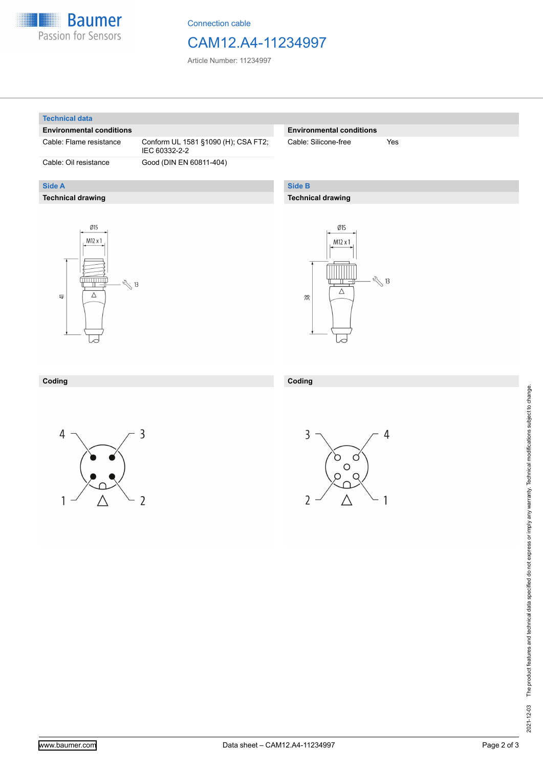

Connection cable

## CAM12.A4-11234997

Article Number: 11234997

#### **Technical data**

**Side A**

#### **Environmental conditions**

**Technical drawing**

Cable: Flame resistance Conform UL 1581 §1090 (H); CSA FT2; IEC 60332-2-2 Cable: Oil resistance Good (DIN EN 60811-404)

#### **Environmental conditions**

Cable: Silicone-free Yes

### **Side B**

**Coding**

#### **Technical drawing**





#### **Coding**